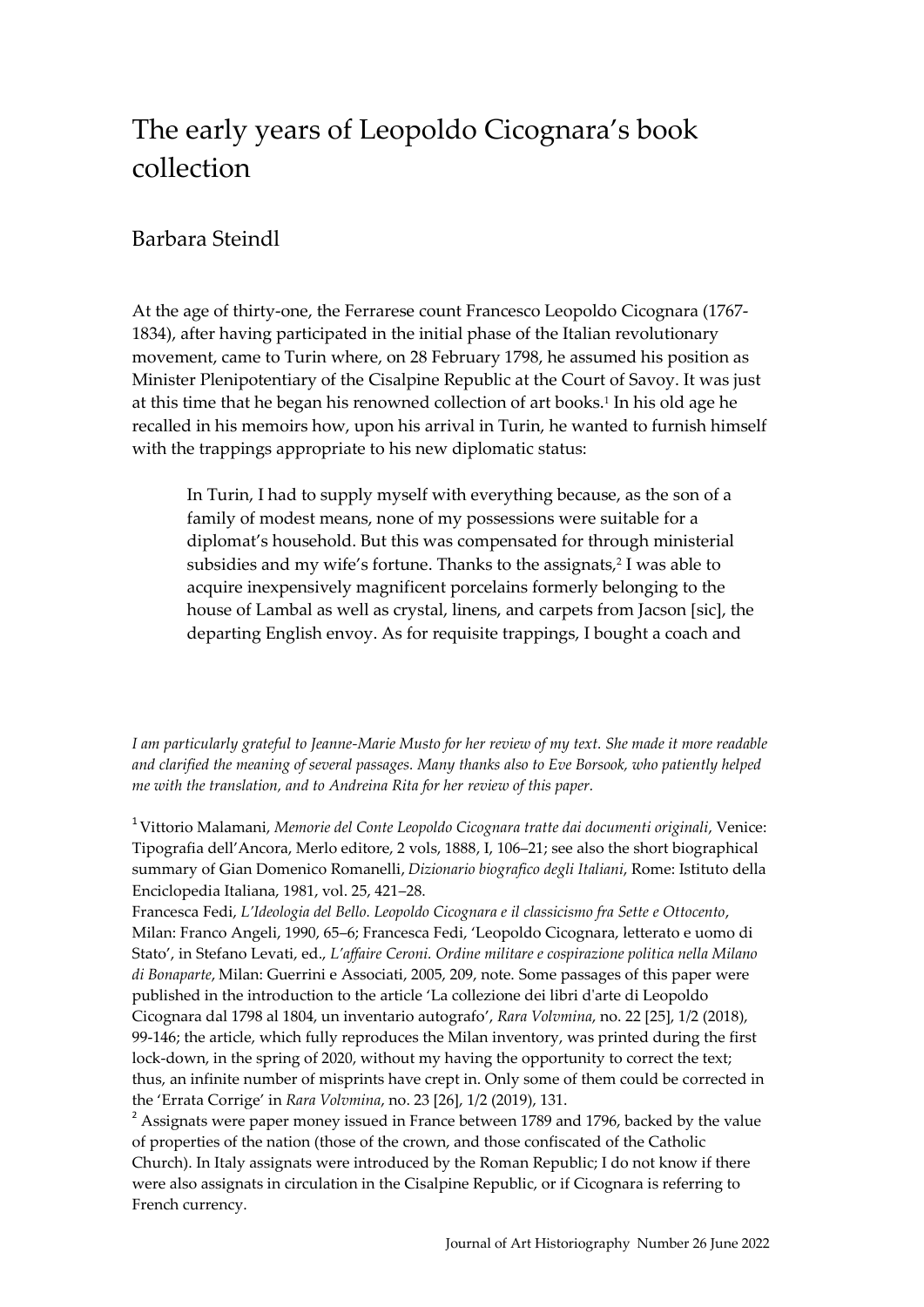## The early years of Leopoldo Cicognara's book collection

## Barbara Steindl

At the age of thirty-one, the Ferrarese count Francesco Leopoldo Cicognara (1767- 1834), after having participated in the initial phase of the Italian revolutionary movement, came to Turin where, on 28 February 1798, he assumed his position as Minister Plenipotentiary of the Cisalpine Republic at the Court of Savoy. It was just at this time that he began his renowned collection of art books.<sup>1</sup> In his old age he recalled in his memoirs how, upon his arrival in Turin, he wanted to furnish himself with the trappings appropriate to his new diplomatic status:

In Turin, I had to supply myself with everything because, as the son of a family of modest means, none of my possessions were suitable for a diplomat's household. But this was compensated for through ministerial subsidies and my wife's fortune. Thanks to the assignats,<sup>2</sup> I was able to acquire inexpensively magnificent porcelains formerly belonging to the house of Lambal as well as crystal, linens, and carpets from Jacson [sic], the departing English envoy. As for requisite trappings, I bought a coach and

*I am particularly grateful to Jeanne-Marie Musto for her review of my text. She made it more readable and clarified the meaning of several passages. Many thanks also to Eve Borsook, who patiently helped me with the translation, and to Andreina Rita for her review of this paper.*

<sup>1</sup> Vittorio Malamani, *Memorie del Conte Leopoldo Cicognara tratte dai documenti originali*, Venice: Tipografia dell'Ancora, Merlo editore, 2 vols, 1888, I, 106–21; see also the short biographical summary of Gian Domenico Romanelli, *Dizionario biografico degli Italiani*, Rome: Istituto della Enciclopedia Italiana, 1981, vol. 25, 421–28.

Francesca Fedi, *L'Ideologia del Bello. Leopoldo Cicognara e il classicismo fra Sette e Ottocento*, Milan: Franco Angeli, 1990, 65–6; Francesca Fedi, 'Leopoldo Cicognara, letterato e uomo di Stato', in Stefano Levati, ed., *L'affaire Ceroni. Ordine militare e cospirazione politica nella Milano di Bonaparte*, Milan: Guerrini e Associati, 2005, 209, note. Some passages of this paper were published in the introduction to the article 'La collezione dei libri d'arte di Leopoldo Cicognara dal 1798 al 1804, un inventario autografo', *Rara Volvmina*, no. 22 [25], 1/2 (2018), 99-146; the article, which fully reproduces the Milan inventory, was printed during the first lock-down, in the spring of 2020, without my having the opportunity to correct the text; thus, an infinite number of misprints have crept in. Only some of them could be corrected in the 'Errata Corrige' in *Rara Volvmina*, no. 23 [26], 1/2 (2019), 131.

 $2$  Assignats were paper money issued in France between 1789 and 1796, backed by the value of properties of the nation (those of the crown, and those confiscated of the Catholic Church). In Italy assignats were introduced by the Roman Republic; I do not know if there were also assignats in circulation in the Cisalpine Republic, or if Cicognara is referring to French currency.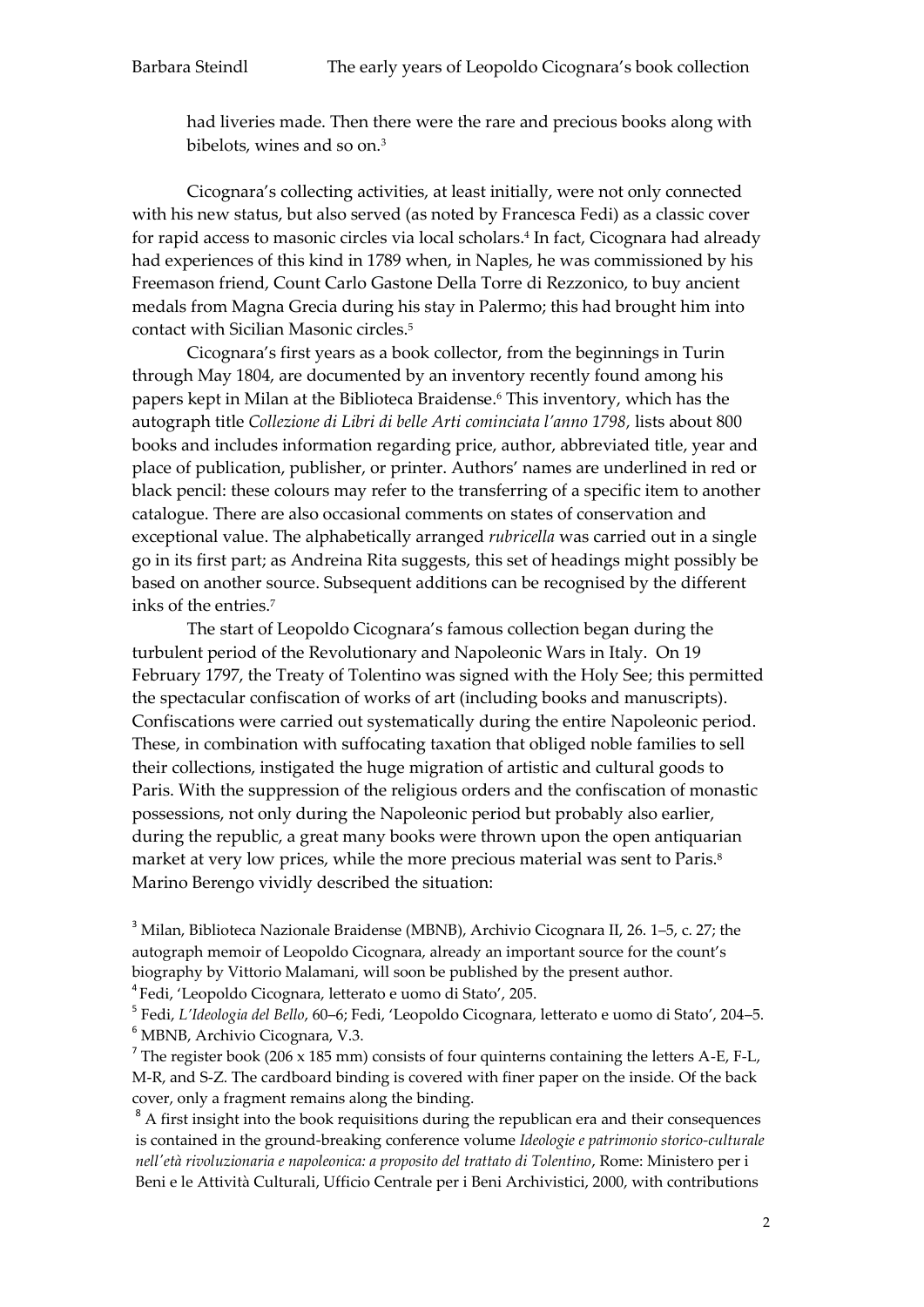had liveries made. Then there were the rare and precious books along with bibelots, wines and so on.<sup>3</sup>

Cicognara's collecting activities, at least initially, were not only connected with his new status, but also served (as noted by Francesca Fedi) as a classic cover for rapid access to masonic circles via local scholars.<sup>4</sup> In fact, Cicognara had already had experiences of this kind in 1789 when, in Naples, he was commissioned by his Freemason friend, Count Carlo Gastone Della Torre di Rezzonico, to buy ancient medals from Magna Grecia during his stay in Palermo; this had brought him into contact with Sicilian Masonic circles.<sup>5</sup>

Cicognara's first years as a book collector, from the beginnings in Turin through May 1804, are documented by an inventory recently found among his papers kept in Milan at the Biblioteca Braidense.<sup>6</sup> This inventory, which has the autograph title *Collezione di Libri di belle Arti cominciata l'anno 1798,* lists about 800 books and includes information regarding price, author, abbreviated title, year and place of publication, publisher, or printer. Authors' names are underlined in red or black pencil: these colours may refer to the transferring of a specific item to another catalogue. There are also occasional comments on states of conservation and exceptional value. The alphabetically arranged *rubricella* was carried out in a single go in its first part; as Andreina Rita suggests, this set of headings might possibly be based on another source. Subsequent additions can be recognised by the different inks of the entries.<sup>7</sup>

The start of Leopoldo Cicognara's famous collection began during the turbulent period of the Revolutionary and Napoleonic Wars in Italy. On 19 February 1797, the Treaty of Tolentino was signed with the Holy See; this permitted the spectacular confiscation of works of art (including books and manuscripts). Confiscations were carried out systematically during the entire Napoleonic period. These, in combination with suffocating taxation that obliged noble families to sell their collections, instigated the huge migration of artistic and cultural goods to Paris. With the suppression of the religious orders and the confiscation of monastic possessions, not only during the Napoleonic period but probably also earlier, during the republic, a great many books were thrown upon the open antiquarian market at very low prices, while the more precious material was sent to Paris.<sup>8</sup> Marino Berengo vividly described the situation:

<sup>3</sup> Milan, Biblioteca Nazionale Braidense (MBNB), Archivio Cicognara II, 26. 1–5, c. 27; the autograph memoir of Leopoldo Cicognara, already an important source for the count's biography by Vittorio Malamani, will soon be published by the present author.

<sup>4</sup> Fedi, 'Leopoldo Cicognara, letterato e uomo di Stato', 205.

5 Fedi, *L'Ideologia del Bello*, 60–6; Fedi, 'Leopoldo Cicognara, letterato e uomo di Stato', 204–5. <sup>6</sup> MBNB, Archivio Cicognara, V.3.

<sup>7</sup> The register book (206 x 185 mm) consists of four quinterns containing the letters A-E, F-L, M-R, and S-Z. The cardboard binding is covered with finer paper on the inside. Of the back cover, only a fragment remains along the binding.

<sup>8</sup> A first insight into the book requisitions during the republican era and their consequences is contained in the ground-breaking conference volume *Ideologie e patrimonio storico-culturale nell'età rivoluzionaria e napoleonica: a proposito del trattato di Tolentino*, Rome: Ministero per i Beni e le Attività Culturali, Ufficio Centrale per i Beni Archivistici, 2000, with contributions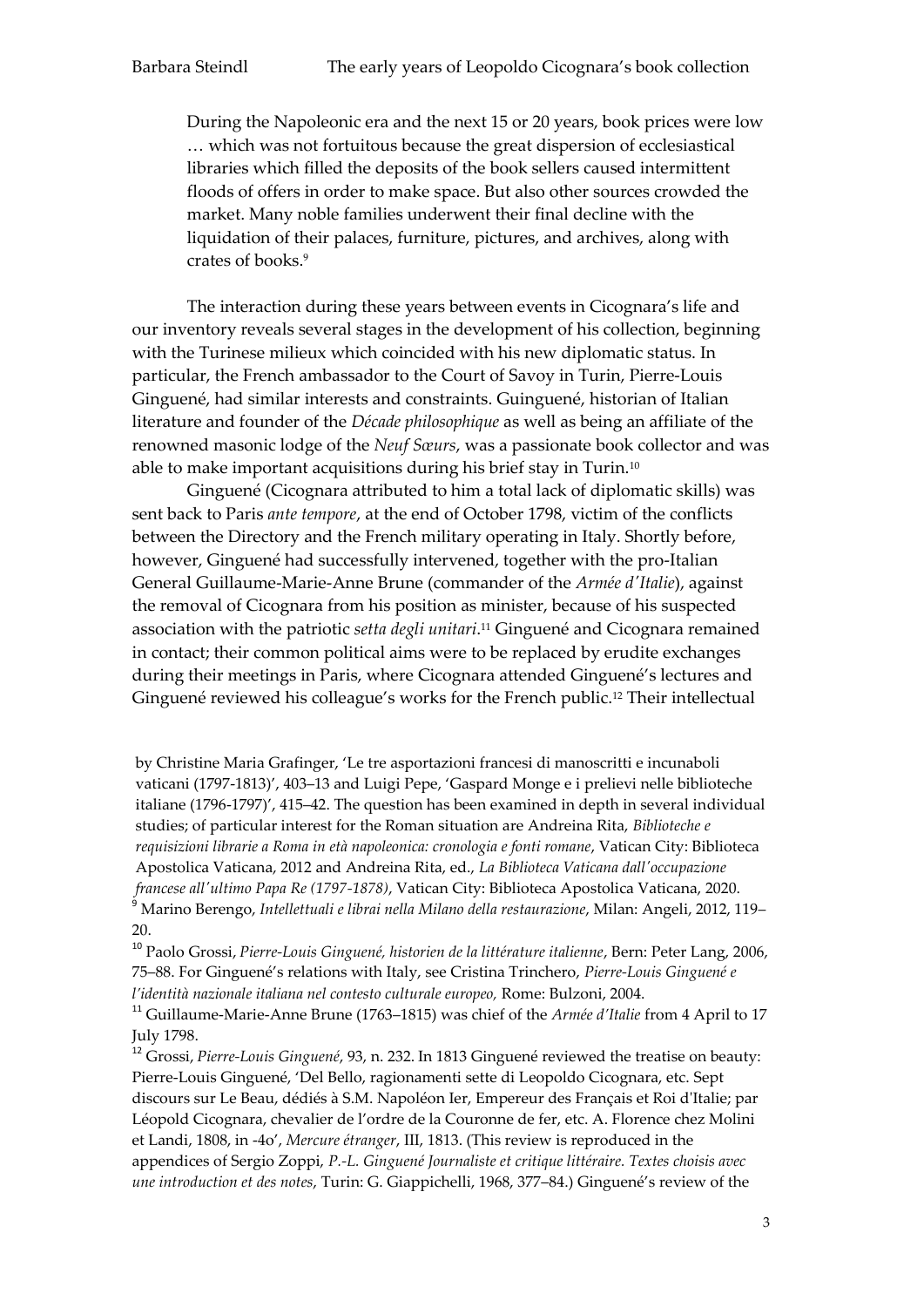During the Napoleonic era and the next 15 or 20 years, book prices were low … which was not fortuitous because the great dispersion of ecclesiastical libraries which filled the deposits of the book sellers caused intermittent floods of offers in order to make space. But also other sources crowded the market. Many noble families underwent their final decline with the liquidation of their palaces, furniture, pictures, and archives, along with crates of books.<sup>9</sup>

The interaction during these years between events in Cicognara's life and our inventory reveals several stages in the development of his collection, beginning with the Turinese milieux which coincided with his new diplomatic status. In particular, the French ambassador to the Court of Savoy in Turin, Pierre-Louis Ginguené, had similar interests and constraints. Guinguené, historian of Italian literature and founder of the *Décade philosophique* as well as being an affiliate of the renowned masonic lodge of the *Neuf Sœurs*, was a passionate book collector and was able to make important acquisitions during his brief stay in Turin.<sup>10</sup>

Ginguené (Cicognara attributed to him a total lack of diplomatic skills) was sent back to Paris *ante tempore*, at the end of October 1798, victim of the conflicts between the Directory and the French military operating in Italy. Shortly before, however, Ginguené had successfully intervened, together with the pro-Italian General Guillaume-Marie-Anne Brune (commander of the *Armée d'Italie*), against the removal of Cicognara from his position as minister, because of his suspected association with the patriotic *setta degli unitari*. <sup>11</sup> Ginguené and Cicognara remained in contact; their common political aims were to be replaced by erudite exchanges during their meetings in Paris, where Cicognara attended Ginguené's lectures and Ginguené reviewed his colleague's works for the French public.<sup>12</sup> Their intellectual

by Christine Maria Grafinger, 'Le tre asportazioni francesi di manoscritti e incunaboli vaticani (1797-1813)', 403–13 and Luigi Pepe, 'Gaspard Monge e i prelievi nelle biblioteche italiane (1796-1797)', 415–42. The question has been examined in depth in several individual studies; of particular interest for the Roman situation are Andreina Rita, *Biblioteche e requisizioni librarie a Roma in età napoleonica: cronologia e fonti romane*, Vatican City: Biblioteca Apostolica Vaticana, 2012 and Andreina Rita, ed., *La Biblioteca Vaticana dall'occupazione francese all'ultimo Papa Re (1797-1878)*, Vatican City: Biblioteca Apostolica Vaticana, 2020. <sup>9</sup> Marino Berengo, *Intellettuali e librai nella Milano della restaurazione*, Milan: Angeli, 2012, 119– 20.

<sup>10</sup> Paolo Grossi, *Pierre-Louis Ginguené, historien de la littérature italienne*, Bern: Peter Lang, 2006, 75–88. For Ginguené's relations with Italy, see Cristina Trinchero, *Pierre-Louis Ginguené e l'identità nazionale italiana nel contesto culturale europeo,* Rome: Bulzoni, 2004.

<sup>11</sup> Guillaume-Marie-Anne Brune (1763–1815) was chief of the *Armée d'Italie* from 4 April to 17 July 1798.

<sup>12</sup> Grossi, *Pierre-Louis Ginguené*, 93, n. 232. In 1813 Ginguené reviewed the treatise on beauty: Pierre-Louis Ginguené, 'Del Bello, ragionamenti sette di Leopoldo Cicognara, etc. Sept discours sur Le Beau, dédiés à S.M. Napoléon Ier, Empereur des Français et Roi d'Italie; par Léopold Cicognara, chevalier de l'ordre de la Couronne de fer, etc. A. Florence chez Molini et Landi, 1808, in -4o', *Mercure étranger*, III, 1813. (This review is reproduced in the appendices of Sergio Zoppi, *P.-L. Ginguené Journaliste et critique littéraire. Textes choisis avec une introduction et des notes*, Turin: G. Giappichelli, 1968, 377–84.) Ginguené's review of the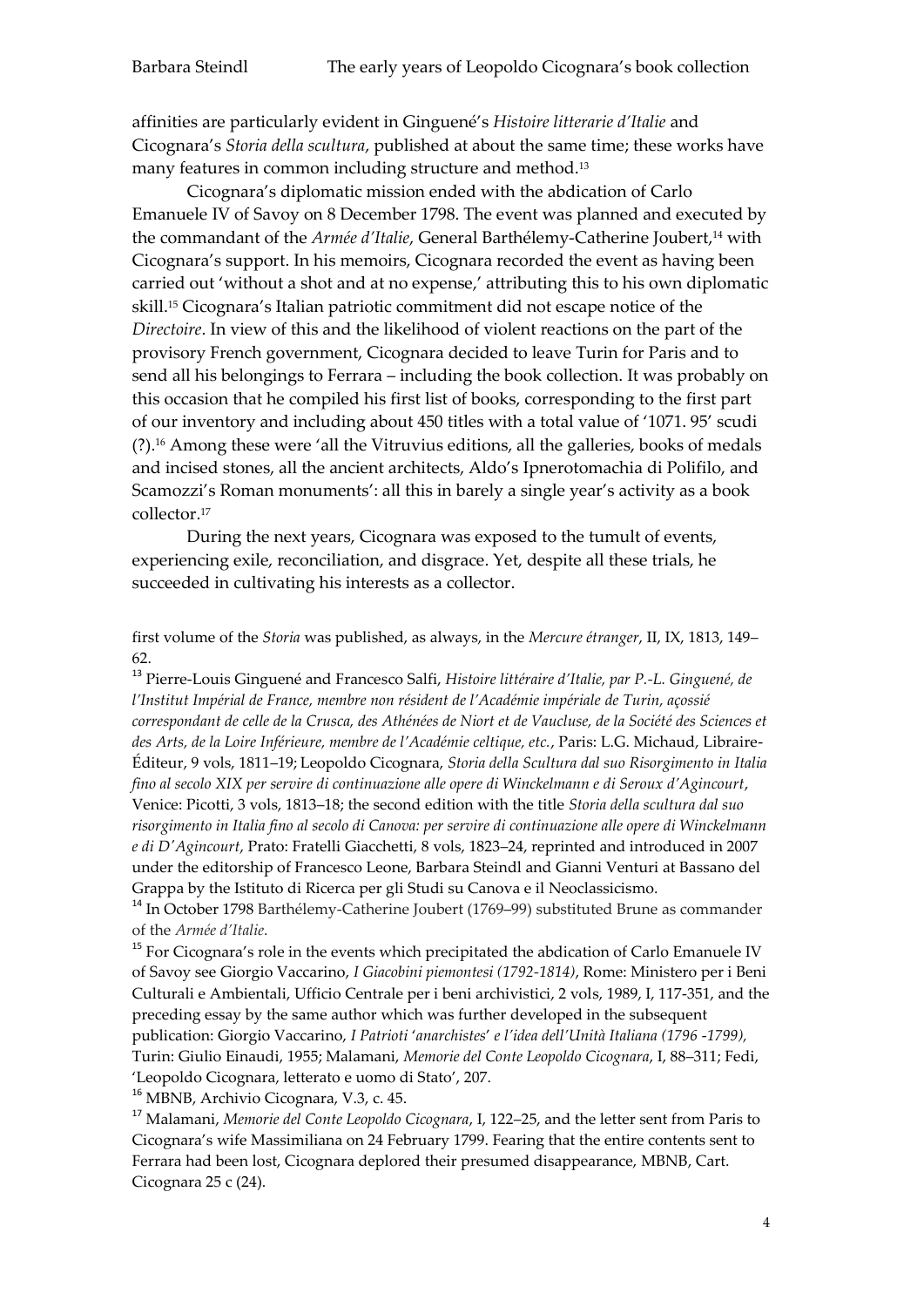affinities are particularly evident in Ginguené's *Histoire litterarie d'Italie* and Cicognara's *Storia della scultura*, published at about the same time; these works have many features in common including structure and method.<sup>13</sup>

Cicognara's diplomatic mission ended with the abdication of Carlo Emanuele IV of Savoy on 8 December 1798. The event was planned and executed by the commandant of the *Armée d'Italie*, General Barthélemy-Catherine Joubert,<sup>14</sup> with Cicognara's support. In his memoirs, Cicognara recorded the event as having been carried out 'without a shot and at no expense,' attributing this to his own diplomatic skill.<sup>15</sup> Cicognara's Italian patriotic commitment did not escape notice of the *Directoire*. In view of this and the likelihood of violent reactions on the part of the provisory French government, Cicognara decided to leave Turin for Paris and to send all his belongings to Ferrara – including the book collection. It was probably on this occasion that he compiled his first list of books, corresponding to the first part of our inventory and including about 450 titles with a total value of '1071. 95' scudi (?).<sup>16</sup> Among these were 'all the Vitruvius editions, all the galleries, books of medals and incised stones, all the ancient architects, Aldo's Ipnerotomachia di Polifilo, and Scamozzi's Roman monuments': all this in barely a single year's activity as a book collector.<sup>17</sup>

During the next years, Cicognara was exposed to the tumult of events, experiencing exile, reconciliation, and disgrace. Yet, despite all these trials, he succeeded in cultivating his interests as a collector.

first volume of the *Storia* was published, as always, in the *Mercure étranger*, II, IX, 1813, 149– 62.

<sup>13</sup> Pierre-Louis Ginguené and Francesco Salfi, *Histoire littéraire d'Italie, par P.-L. Ginguené, de l'Institut Impérial de France, membre non résident de l'Académie impériale de Turin, açossié correspondant de celle de la Crusca, des Athénées de Niort et de Vaucluse, de la Société des Sciences et des Arts, de la Loire Inférieure, membre de l'Académie celtique, etc.*, Paris: L.G. Michaud, Libraire-Éditeur, 9 vols, 1811–19; Leopoldo Cicognara, *Storia della Scultura dal suo Risorgimento in Italia fino al secolo XIX per servire di continuazione alle opere di Winckelmann e di Seroux d'Agincourt*, Venice: Picotti, 3 vols, 1813–18; the second edition with the title *Storia della scultura dal suo risorgimento in Italia fino al secolo di Canova: per servire di continuazione alle opere di Winckelmann e di D'Agincourt*, Prato: Fratelli Giacchetti, 8 vols, 1823–24, reprinted and introduced in 2007 under the editorship of Francesco Leone, Barbara Steindl and Gianni Venturi at Bassano del Grappa by the Istituto di Ricerca per gli Studi su Canova e il Neoclassicismo.

<sup>14</sup> In October 1798 Barthélemy-Catherine Joubert (1769–99) substituted Brune as commander of the *Armée d'Italie*.

 $15$  For Cicognara's role in the events which precipitated the abdication of Carlo Emanuele IV of Savoy see Giorgio Vaccarino, *I Giacobini piemontesi (1792-1814)*, Rome: Ministero per i Beni Culturali e Ambientali, Ufficio Centrale per i beni archivistici, 2 vols, 1989, I, 117-351, and the preceding essay by the same author which was further developed in the subsequent publication: Giorgio Vaccarino, *I Patrioti* '*anarchistes*' *e l'idea dell'Unità Italiana (1796* -*1799),* Turin: Giulio Einaudi, 1955; Malamani, *Memorie del Conte Leopoldo Cicognara*, I, 88–311; Fedi, 'Leopoldo Cicognara, letterato e uomo di Stato', 207.

<sup>16</sup> MBNB, Archivio Cicognara, V.3, c. 45.

<sup>17</sup> Malamani, *Memorie del Conte Leopoldo Cicognara*, I, 122–25, and the letter sent from Paris to Cicognara's wife Massimiliana on 24 February 1799. Fearing that the entire contents sent to Ferrara had been lost, Cicognara deplored their presumed disappearance, MBNB, Cart. Cicognara 25 c (24).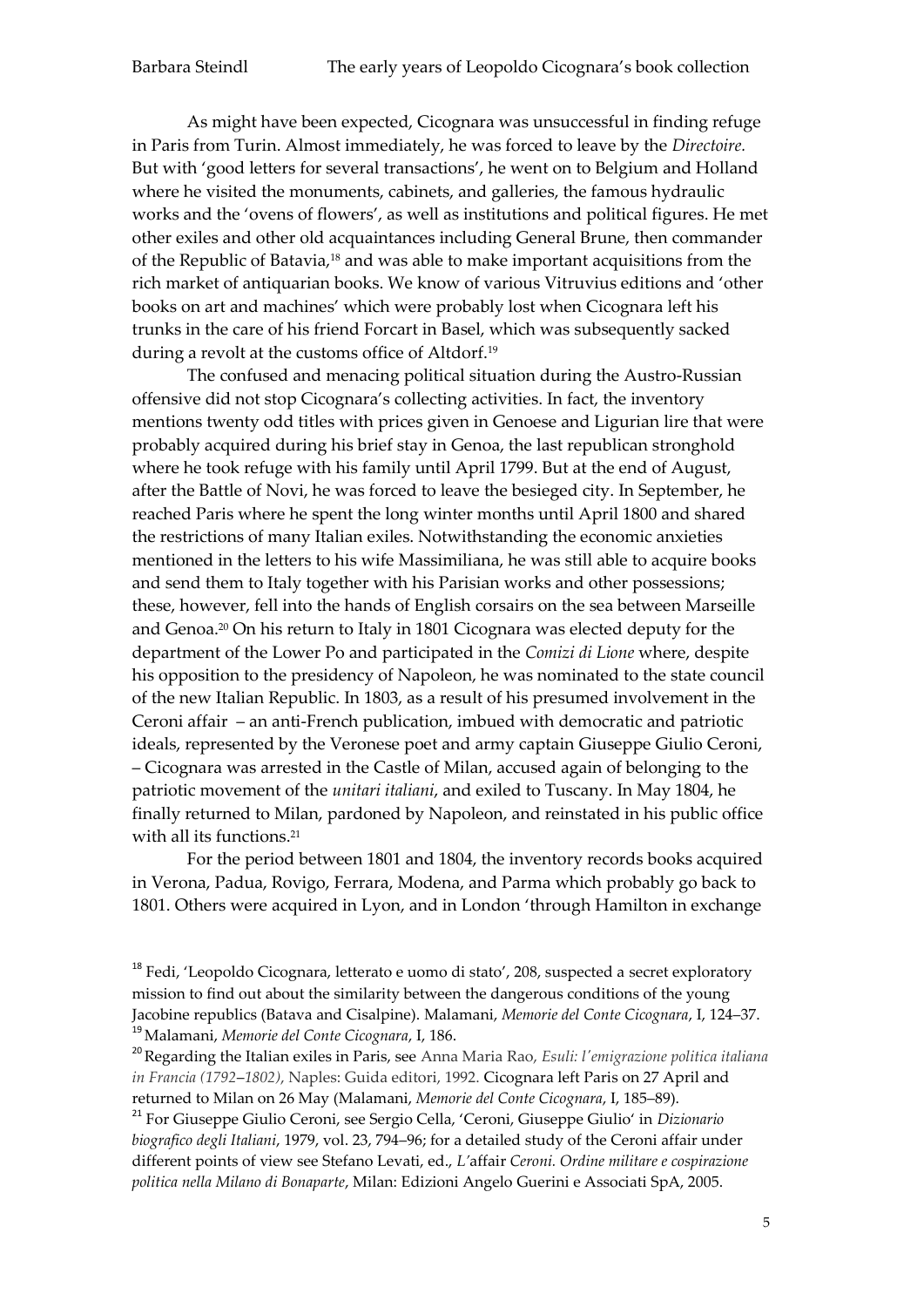As might have been expected, Cicognara was unsuccessful in finding refuge in Paris from Turin. Almost immediately, he was forced to leave by the *Directoire.*  But with 'good letters for several transactions', he went on to Belgium and Holland where he visited the monuments, cabinets, and galleries, the famous hydraulic works and the 'ovens of flowers', as well as institutions and political figures. He met other exiles and other old acquaintances including General Brune, then commander of the Republic of Batavia,<sup>18</sup> and was able to make important acquisitions from the rich market of antiquarian books. We know of various Vitruvius editions and 'other books on art and machines' which were probably lost when Cicognara left his trunks in the care of his friend Forcart in Basel, which was subsequently sacked during a revolt at the customs office of Altdorf.<sup>19</sup>

The confused and menacing political situation during the Austro-Russian offensive did not stop Cicognara's collecting activities. In fact, the inventory mentions twenty odd titles with prices given in Genoese and Ligurian lire that were probably acquired during his brief stay in Genoa, the last republican stronghold where he took refuge with his family until April 1799. But at the end of August, after the Battle of Novi, he was forced to leave the besieged city. In September, he reached Paris where he spent the long winter months until April 1800 and shared the restrictions of many Italian exiles. Notwithstanding the economic anxieties mentioned in the letters to his wife Massimiliana, he was still able to acquire books and send them to Italy together with his Parisian works and other possessions; these, however, fell into the hands of English corsairs on the sea between Marseille and Genoa.<sup>20</sup> On his return to Italy in 1801 Cicognara was elected deputy for the department of the Lower Po and participated in the *Comizi di Lione* where, despite his opposition to the presidency of Napoleon, he was nominated to the state council of the new Italian Republic. In 1803, as a result of his presumed involvement in the Ceroni affair – an anti-French publication, imbued with democratic and patriotic ideals, represented by the Veronese poet and army captain Giuseppe Giulio Ceroni, – Cicognara was arrested in the Castle of Milan, accused again of belonging to the patriotic movement of the *unitari italiani*, and exiled to Tuscany. In May 1804, he finally returned to Milan, pardoned by Napoleon, and reinstated in his public office with all its functions.<sup>21</sup>

For the period between 1801 and 1804, the inventory records books acquired in Verona, Padua, Rovigo, Ferrara, Modena, and Parma which probably go back to 1801. Others were acquired in Lyon, and in London 'through Hamilton in exchange

<sup>18</sup> Fedi, 'Leopoldo Cicognara, letterato e uomo di stato', 208, suspected a secret exploratory mission to find out about the similarity between the dangerous conditions of the young Jacobine republics (Batava and Cisalpine). Malamani, *Memorie del Conte Cicognara*, I, 124–37. <sup>19</sup>Malamani, *Memorie del Conte Cicognara*, I, 186.

<sup>20</sup>Regarding the Italian exiles in Paris, see Anna Maria Rao, *Esuli: l'emigrazione politica italiana in Francia (1792*–*1802)*, Naples: Guida editori, 1992. Cicognara left Paris on 27 April and returned to Milan on 26 May (Malamani, *Memorie del Conte Cicognara*, I, 185–89).

<sup>21</sup> For Giuseppe Giulio Ceroni, see Sergio Cella, 'Ceroni, Giuseppe Giulio' in *Dizionario biografico degli Italiani*, 1979, vol. 23, 794–96; for a detailed study of the Ceroni affair under different points of view see Stefano Levati, ed., *L'*affair *Ceroni. Ordine militare e cospirazione politica nella Milano di Bonaparte*, Milan: Edizioni Angelo Guerini e Associati SpA, 2005.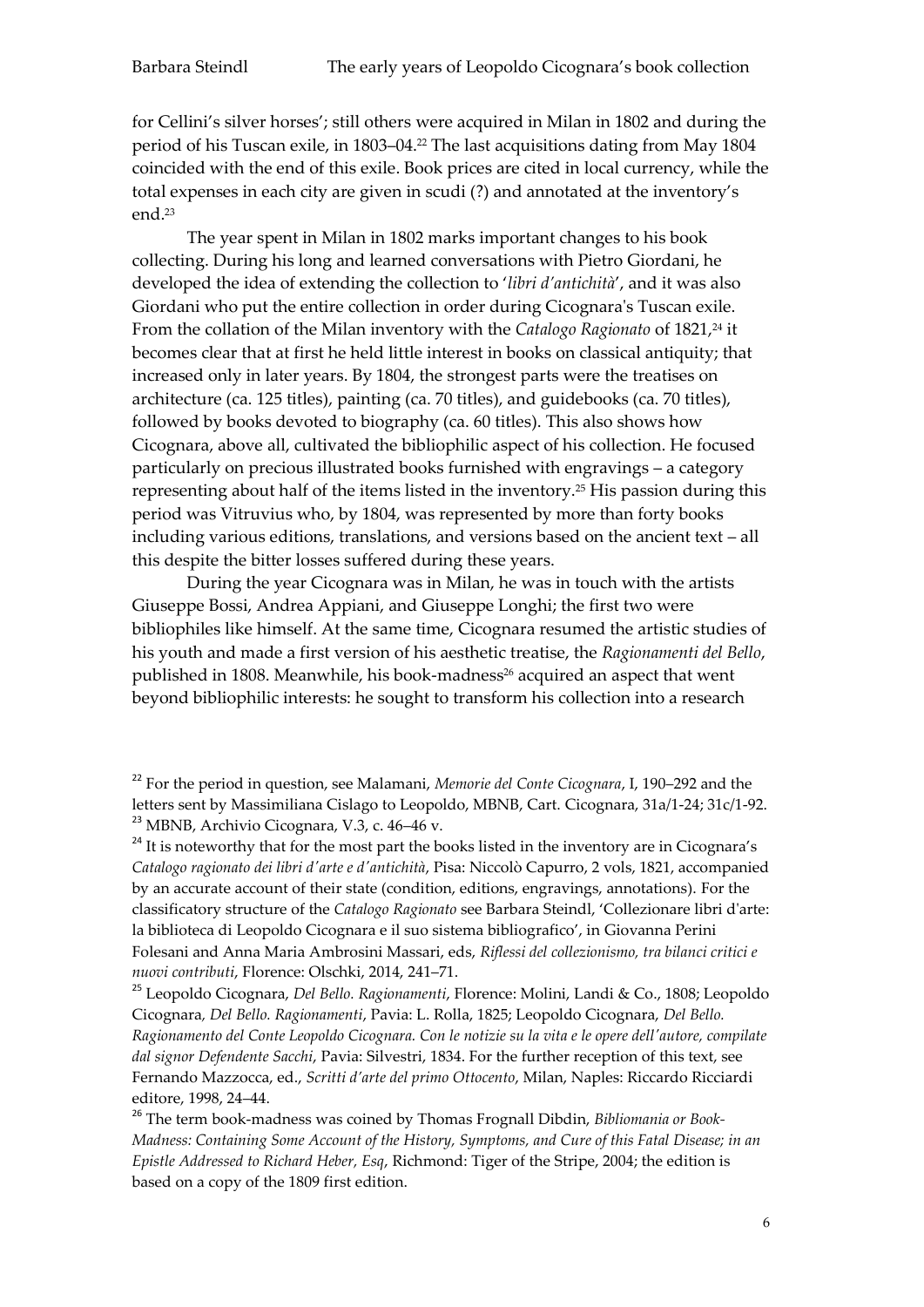for Cellini's silver horses'; still others were acquired in Milan in 1802 and during the period of his Tuscan exile, in 1803–04.<sup>22</sup> The last acquisitions dating from May 1804 coincided with the end of this exile. Book prices are cited in local currency, while the total expenses in each city are given in scudi (?) and annotated at the inventory's end.<sup>23</sup>

The year spent in Milan in 1802 marks important changes to his book collecting. During his long and learned conversations with Pietro Giordani, he developed the idea of extending the collection to '*libri d'antichità*', and it was also Giordani who put the entire collection in order during Cicognara's Tuscan exile. From the collation of the Milan inventory with the *Catalogo Ragionato* of 1821,<sup>24</sup> it becomes clear that at first he held little interest in books on classical antiquity; that increased only in later years. By 1804, the strongest parts were the treatises on architecture (ca. 125 titles), painting (ca. 70 titles), and guidebooks (ca. 70 titles), followed by books devoted to biography (ca. 60 titles). This also shows how Cicognara, above all, cultivated the bibliophilic aspect of his collection. He focused particularly on precious illustrated books furnished with engravings – a category representing about half of the items listed in the inventory.<sup>25</sup> His passion during this period was Vitruvius who, by 1804, was represented by more than forty books including various editions, translations, and versions based on the ancient text – all this despite the bitter losses suffered during these years.

During the year Cicognara was in Milan, he was in touch with the artists Giuseppe Bossi, Andrea Appiani, and Giuseppe Longhi; the first two were bibliophiles like himself. At the same time, Cicognara resumed the artistic studies of his youth and made a first version of his aesthetic treatise, the *Ragionamenti del Bello*, published in 1808. Meanwhile, his book-madness<sup>26</sup> acquired an aspect that went beyond bibliophilic interests: he sought to transform his collection into a research

<sup>24</sup> It is noteworthy that for the most part the books listed in the inventory are in Cicognara's *Catalogo ragionato dei libri d'arte e d'antichità*, Pisa: Niccolò Capurro, 2 vols, 1821, accompanied by an accurate account of their state (condition, editions, engravings, annotations). For the classificatory structure of the *Catalogo Ragionato* see Barbara Steindl, 'Collezionare libri d'arte: la biblioteca di Leopoldo Cicognara e il suo sistema bibliografico', in Giovanna Perini Folesani and Anna Maria Ambrosini Massari, eds, *Riflessi del collezionismo, tra bilanci critici e nuovi contributi*, Florence: Olschki, 2014, 241–71.

<sup>25</sup> Leopoldo Cicognara, *Del Bello. Ragionamenti*, Florence: Molini, Landi & Co., 1808; Leopoldo Cicognara*, Del Bello. Ragionamenti*, Pavia: L. Rolla, 1825; Leopoldo Cicognara, *Del Bello. Ragionamento del Conte Leopoldo Cicognara. Con le notizie su la vita e le opere dell'autore, compilate dal signor Defendente Sacchi*, Pavia: Silvestri, 1834. For the further reception of this text, see Fernando Mazzocca, ed., *Scritti d'arte del primo Ottocento*, Milan, Naples: Riccardo Ricciardi editore, 1998, 24–44.

<sup>26</sup> The term book-madness was coined by Thomas Frognall Dibdin, *Bibliomania or Book-Madness: Containing Some Account of the History, Symptoms, and Cure of this Fatal Disease; in an Epistle Addressed to Richard Heber, Esq*, Richmond: Tiger of the Stripe, 2004; the edition is based on a copy of the 1809 first edition.

<sup>22</sup> For the period in question, see Malamani, *Memorie del Conte Cicognara*, I, 190–292 and the letters sent by Massimiliana Cislago to Leopoldo, MBNB, Cart. Cicognara, 31a/1-24; 31c/1-92. <sup>23</sup> MBNB, Archivio Cicognara, V.3, c. 46–46 v.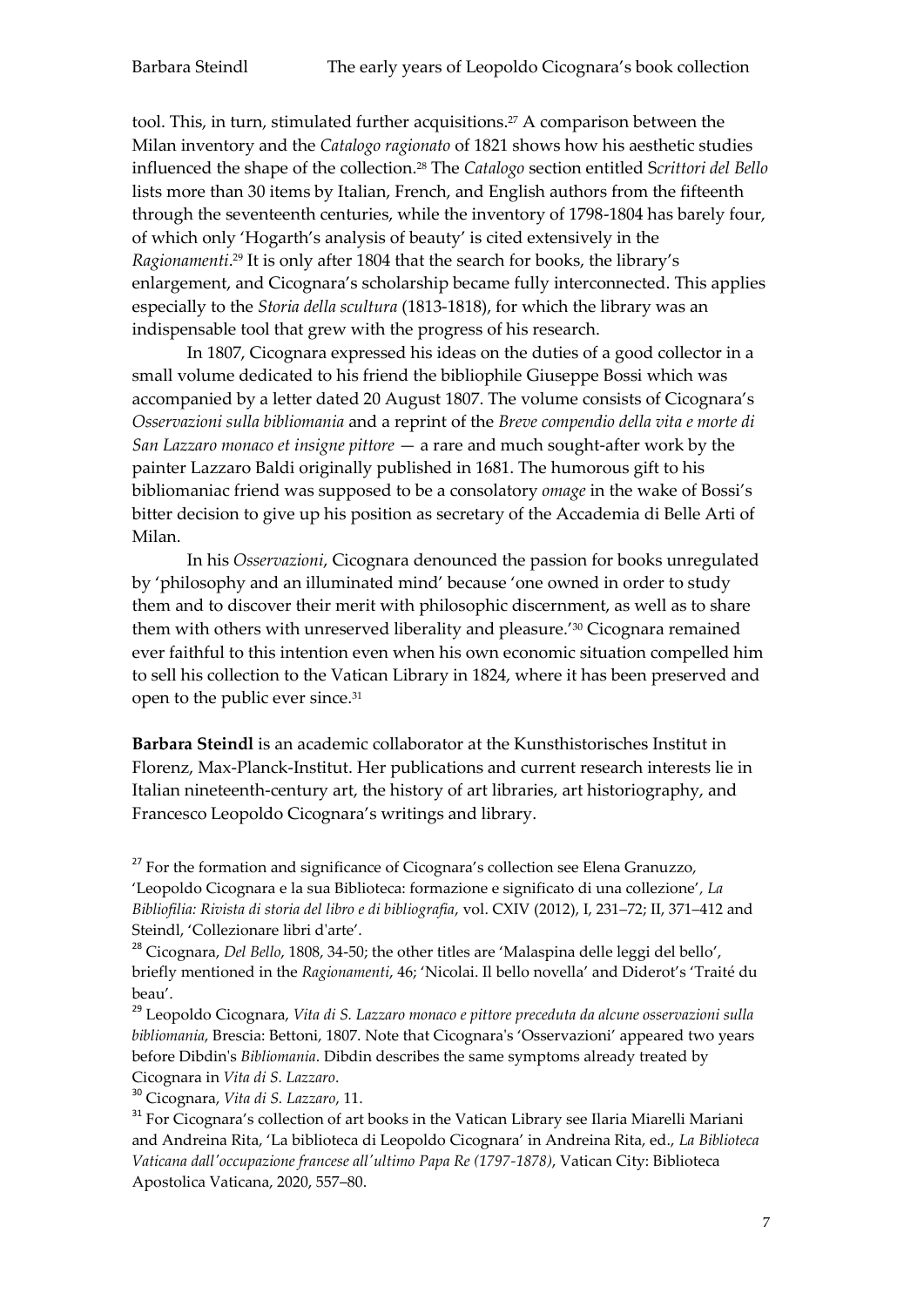tool. This, in turn, stimulated further acquisitions.<sup>27</sup> A comparison between the Milan inventory and the *Catalogo ragionato* of 1821 shows how his aesthetic studies influenced the shape of the collection.<sup>28</sup> The *Catalogo* section entitled S*crittori del Bello* lists more than 30 items by Italian, French, and English authors from the fifteenth through the seventeenth centuries, while the inventory of 1798-1804 has barely four, of which only 'Hogarth's analysis of beauty' is cited extensively in the *Ragionamenti*. <sup>29</sup> It is only after 1804 that the search for books, the library's enlargement, and Cicognara's scholarship became fully interconnected. This applies especially to the *Storia della scultura* (1813-1818), for which the library was an indispensable tool that grew with the progress of his research.

In 1807, Cicognara expressed his ideas on the duties of a good collector in a small volume dedicated to his friend the bibliophile Giuseppe Bossi which was accompanied by a letter dated 20 August 1807. The volume consists of Cicognara's *Osservazioni sulla bibliomania* and a reprint of the *Breve compendio della vita e morte di San Lazzaro monaco et insigne pittore* — a rare and much sought-after work by the painter Lazzaro Baldi originally published in 1681. The humorous gift to his bibliomaniac friend was supposed to be a consolatory *omage* in the wake of Bossi's bitter decision to give up his position as secretary of the Accademia di Belle Arti of Milan.

In his *Osservazioni*, Cicognara denounced the passion for books unregulated by 'philosophy and an illuminated mind' because 'one owned in order to study them and to discover their merit with philosophic discernment, as well as to share them with others with unreserved liberality and pleasure.'<sup>30</sup> Cicognara remained ever faithful to this intention even when his own economic situation compelled him to sell his collection to the Vatican Library in 1824, where it has been preserved and open to the public ever since.<sup>31</sup>

**Barbara Steindl** is an academic collaborator at the Kunsthistorisches Institut in Florenz, Max-Planck-Institut. Her publications and current research interests lie in Italian nineteenth-century art, the history of art libraries, art historiography, and Francesco Leopoldo Cicognara's writings and library.

 $27$  For the formation and significance of Cicognara's collection see Elena Granuzzo, 'Leopoldo Cicognara e la sua Biblioteca: formazione e significato di una collezione'*, La Bibliofilia: Rivista di storia del libro e di bibliografia*, vol. CXIV (2012), I, 231–72; II, 371–412 and Steindl, 'Collezionare libri d'arte'.

<sup>28</sup> Cicognara, *Del Bello*, 1808, 34-50; the other titles are 'Malaspina delle leggi del bello', briefly mentioned in the *Ragionamenti*, 46; 'Nicolai. Il bello novella' and Diderot's 'Traité du beau'.

<sup>29</sup> Leopoldo Cicognara, *Vita di S. Lazzaro monaco e pittore preceduta da alcune osservazioni sulla bibliomania*, Brescia: Bettoni, 1807. Note that Cicognara's 'Osservazioni' appeared two years before Dibdin's *Bibliomania*. Dibdin describes the same symptoms already treated by Cicognara in *Vita di S. Lazzaro*.

<sup>30</sup> Cicognara, *Vita di S. Lazzaro*, 11.

<sup>31</sup> For Cicognara's collection of art books in the Vatican Library see Ilaria Miarelli Mariani and Andreina Rita, 'La biblioteca di Leopoldo Cicognara' in Andreina Rita, ed., *La Biblioteca Vaticana dall'occupazione francese all'ultimo Papa Re (1797-1878)*, Vatican City: Biblioteca Apostolica Vaticana, 2020, 557–80.